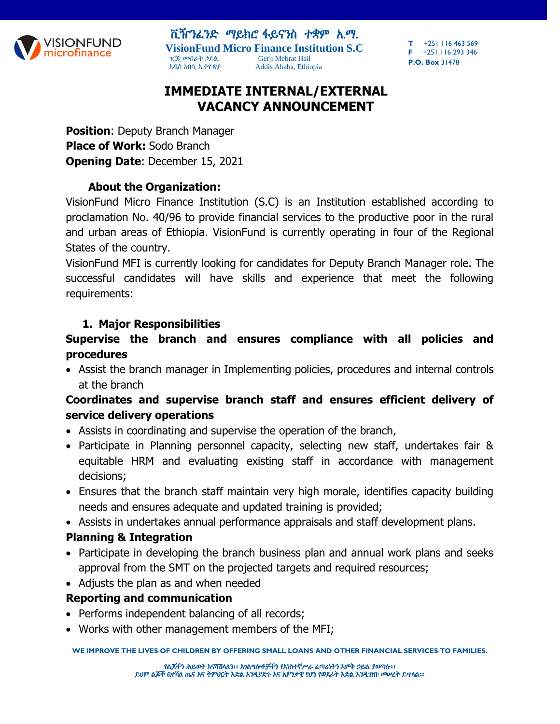

ቪዥንፈንድ ማይክሮ ፋይናንስ ተቋም አ.ማ. **VisionFund Micro Finance Institution S.C** ገርጂ መብራት ኃይል Gerji Mebrat Hail አዲስ አበባ, ኢትዮጵያ Addis Ababa, Ethiopia

**T** +251 116 463 569 **F** +251 116 293 346 **P.O. Box** 31478

# **IMMEDIATE INTERNAL/EXTERNAL VACANCY ANNOUNCEMENT**

**Position**: Deputy Branch Manager **Place of Work:** Sodo Branch **Opening Date**: December 15, 2021

#### **About the Organization:**

VisionFund Micro Finance Institution (S.C) is an Institution established according to proclamation No. 40/96 to provide financial services to the productive poor in the rural and urban areas of Ethiopia. VisionFund is currently operating in four of the Regional States of the country.

VisionFund MFI is currently looking for candidates for Deputy Branch Manager role. The successful candidates will have skills and experience that meet the following requirements:

#### **1. Major Responsibilities**

### **Supervise the branch and ensures compliance with all policies and procedures**

 Assist the branch manager in Implementing policies, procedures and internal controls at the branch

#### **Coordinates and supervise branch staff and ensures efficient delivery of service delivery operations**

- Assists in coordinating and supervise the operation of the branch,
- Participate in Planning personnel capacity, selecting new staff, undertakes fair & equitable HRM and evaluating existing staff in accordance with management decisions;
- Ensures that the branch staff maintain very high morale, identifies capacity building needs and ensures adequate and updated training is provided;
- Assists in undertakes annual performance appraisals and staff development plans.

#### **Planning & Integration**

- Participate in developing the branch business plan and annual work plans and seeks approval from the SMT on the projected targets and required resources;
- Adjusts the plan as and when needed

#### **Reporting and communication**

- Performs independent balancing of all records;
- Works with other management members of the MFI;

**WE IMPROVE THE LIVES OF CHILDREN BY OFFERING SMALL LOANS AND OTHER FINANCIAL SERVICES TO FAMILIES.**